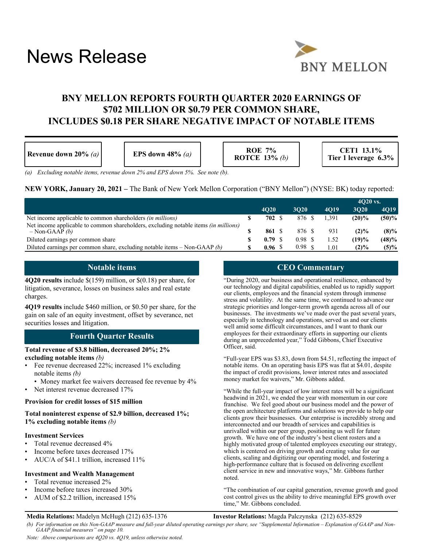# News Release



# **BNY MELLON REPORTS FOURTH QUARTER 2020 EARNINGS OF \$702 MILLION OR \$0.79 PER COMMON SHARE, INCLUDES \$0.18 PER SHARE NEGATIVE IMPACT OF NOTABLE ITEMS**

| Revenue down 20% $(a)$ | EPS down $48\%$ (a) | <b>ROE 7%</b><br>ROTCE $13\%$ (b) | CET1 13.1%<br>Tier 1 leverage 6.3% |
|------------------------|---------------------|-----------------------------------|------------------------------------|
|------------------------|---------------------|-----------------------------------|------------------------------------|

*(a) Excluding notable items, revenue down 2% and EPS down 5%. See note (b).*

**NEW YORK, January 20, 2021 –** The Bank of New York Mellon Corporation ("BNY Mellon") (NYSE: BK) today reported:

|                                                                                                                  |             |                  |             | $4020$ vs. |          |
|------------------------------------------------------------------------------------------------------------------|-------------|------------------|-------------|------------|----------|
|                                                                                                                  | <b>4O20</b> | 3020             | <b>4019</b> | 3020       | 4019     |
| Net income applicable to common shareholders <i>(in millions)</i>                                                | 702 S       | 876 \$           | 1.391       | $(20)\%$   | $(50)\%$ |
| Net income applicable to common shareholders, excluding notable items <i>(in millions)</i><br>$-$ Non-GAAP $(b)$ | 861 S       | 876 \$           | 931         | (2)%       | $(8)\%$  |
| Diluted earnings per common share                                                                                | $0.79$ \$   | 0.98 S           | 1.52        | (19)%      | (48)%    |
| Diluted earnings per common share, excluding notable items - Non-GAAP (b)                                        | 0.96S       | $0.98 \text{ s}$ | 1.01        | $(2)\%$    | $(5)\%$  |

# **Notable items**

**4Q20 results** include \$(159) million, or \$(0.18) per share, for litigation, severance, losses on business sales and real estate charges.

**4Q19 results** include \$460 million, or \$0.50 per share, for the gain on sale of an equity investment, offset by severance, net securities losses and litigation.

# **Fourth Quarter Results**

#### **Total revenue of \$3.8 billion, decreased 20%; 2% excluding notable items** *(b)*

- Fee revenue decreased 22%; increased 1% excluding notable items *(b)*
	- Money market fee waivers decreased fee revenue by 4%
- Net interest revenue decreased 17%

#### **Provision for credit losses of \$15 million**

**Total noninterest expense of \$2.9 billion, decreased 1%; 1% excluding notable items** *(b)*

#### **Investment Services**

- Total revenue decreased 4%
- Income before taxes decreased 17%
- AUC/A of \$41.1 trillion, increased 11%

#### **Investment and Wealth Management**

- Total revenue increased 2%
- Income before taxes increased 30%
- AUM of \$2.2 trillion, increased 15%

# **CEO Commentary**

"During 2020, our business and operational resilience, enhanced by our technology and digital capabilities, enabled us to rapidly support our clients, employees and the financial system through immense stress and volatility. At the same time, we continued to advance our strategic priorities and longer-term growth agenda across all of our businesses. The investments we've made over the past several years, especially in technology and operations, served us and our clients well amid some difficult circumstances, and I want to thank our employees for their extraordinary efforts in supporting our clients during an unprecedented year," Todd Gibbons, Chief Executive Officer, said.

"Full-year EPS was \$3.83, down from \$4.51, reflecting the impact of notable items. On an operating basis EPS was flat at \$4.01, despite the impact of credit provisions, lower interest rates and associated money market fee waivers," Mr. Gibbons added.

"While the full-year impact of low interest rates will be a significant headwind in 2021, we ended the year with momentum in our core franchise. We feel good about our business model and the power of the open architecture platforms and solutions we provide to help our clients grow their businesses. Our enterprise is incredibly strong and interconnected and our breadth of services and capabilities is unrivalled within our peer group, positioning us well for future growth. We have one of the industry's best client rosters and a highly motivated group of talented employees executing our strategy, which is centered on driving growth and creating value for our clients, scaling and digitizing our operating model, and fostering a high-performance culture that is focused on delivering excellent client service in new and innovative ways," Mr. Gibbons further noted.

"The combination of our capital generation, revenue growth and good cost control gives us the ability to drive meaningful EPS growth over time," Mr. Gibbons concluded.

#### **Media Relations:** Madelyn McHugh (212) 635-1376 **Investor Relations:** Magda Palczynska (212) 635-8529

*(b) For information on this Non-GAAP measure and full-year diluted operating earnings per share, see "Supplemental Information – Explanation of GAAP and Non-GAAP financial measures" on page 10.*

*Note: Above comparisons are 4Q20 vs. 4Q19, unless otherwise noted.*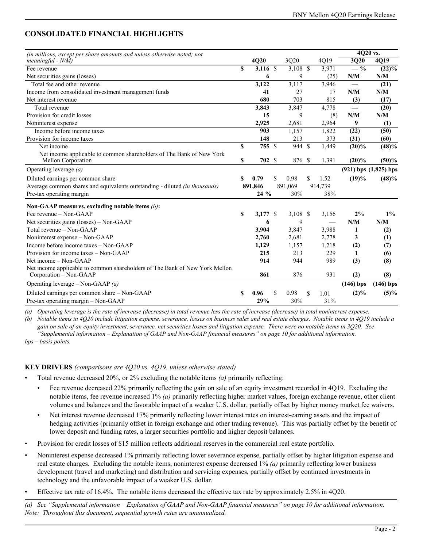# **CONSOLIDATED FINANCIAL HIGHLIGHTS**

| (in millions, except per share amounts and unless otherwise noted; not                                |              |            |    |            |    |         | 4Q20 vs.    |                           |
|-------------------------------------------------------------------------------------------------------|--------------|------------|----|------------|----|---------|-------------|---------------------------|
| $meaningful - N/M)$                                                                                   |              | 4Q20       |    | 3Q20       |    | 4Q19    | 3Q20        | $\overline{4Q19}$         |
| Fee revenue                                                                                           | \$           | $3,116$ \$ |    | $3,108$ \$ |    | 3,971   | $-$ %       | $(22)\%$                  |
| Net securities gains (losses)                                                                         |              | 6          |    | 9          |    | (25)    | N/M         | N/M                       |
| Total fee and other revenue                                                                           |              | 3,122      |    | 3,117      |    | 3,946   |             | $\overline{(21)}$         |
| Income from consolidated investment management funds                                                  |              | 41         |    | 27         |    | 17      | N/M         | N/M                       |
| Net interest revenue                                                                                  |              | 680        |    | 703        |    | 815     | (3)         | (17)                      |
| Total revenue                                                                                         |              | 3,843      |    | 3,847      |    | 4,778   |             | (20)                      |
| Provision for credit losses                                                                           |              | 15         |    | 9          |    | (8)     | N/M         | N/M                       |
| Noninterest expense                                                                                   |              | 2,925      |    | 2,681      |    | 2,964   | 9           | (1)                       |
| Income before income taxes                                                                            |              | 903        |    | 1,157      |    | 1,822   | (22)        | (50)                      |
| Provision for income taxes                                                                            |              | 148        |    | 213        |    | 373     | (31)        | (60)                      |
| Net income                                                                                            | $\mathbf{s}$ | 755 \$     |    | 944 \$     |    | 1,449   | $(20)\%$    | $\sqrt{(48)\%}$           |
| Net income applicable to common shareholders of The Bank of New York<br>Mellon Corporation            | S            | 702 \$     |    | 876        | -S | 1,391   | $(20)\%$    | (50)%                     |
| Operating leverage $(a)$                                                                              |              |            |    |            |    |         |             | $(921)$ bps $(1,825)$ bps |
| Diluted earnings per common share                                                                     | S            | 0.79       | \$ | 0.98       | \$ | 1.52    | (19)%       | (48)%                     |
| Average common shares and equivalents outstanding - diluted (in thousands)                            |              | 891,846    |    | 891,069    |    | 914,739 |             |                           |
| Pre-tax operating margin                                                                              |              | 24 %       |    | 30%        |    | 38%     |             |                           |
| Non-GAAP measures, excluding notable items $(b)$ :                                                    |              |            |    |            |    |         |             |                           |
| Fee revenue – Non-GAAP                                                                                | S            | 3.177 \$   |    | $3,108$ \$ |    | 3,156   | 2%          | $1\%$                     |
| Net securities gains (losses) – Non-GAAP                                                              |              | 6          |    | 9          |    |         | N/M         | N/M                       |
| Total revenue – Non-GAAP                                                                              |              | 3,904      |    | 3,847      |    | 3,988   | 1           | (2)                       |
| Noninterest expense – Non-GAAP                                                                        |              | 2,760      |    | 2,681      |    | 2,778   | 3           | (1)                       |
| Income before income taxes - Non-GAAP                                                                 |              | 1,129      |    | 1,157      |    | 1,218   | (2)         | (7)                       |
| Provision for income taxes - Non-GAAP                                                                 |              | 215        |    | 213        |    | 229     | 1           | (6)                       |
| Net income $-$ Non-GAAP                                                                               |              | 914        |    | 944        |    | 989     | (3)         | (8)                       |
| Net income applicable to common shareholders of The Bank of New York Mellon<br>Corporation - Non-GAAP |              | 861        |    | 876        |    | 931     | (2)         | (8)                       |
| Operating leverage – Non-GAAP $(a)$                                                                   |              |            |    |            |    |         | $(146)$ bps | $(146)$ bps               |
| Diluted earnings per common share – Non-GAAP                                                          | S            | 0.96       | S  | 0.98       | \$ | 1.01    | $(2)\%$     | $(5)\%$                   |
| Pre-tax operating margin - Non-GAAP                                                                   |              | 29%        |    | 30%        |    | 31%     |             |                           |

*(a) Operating leverage is the rate of increase (decrease) in total revenue less the rate of increase (decrease) in total noninterest expense.*

*(b) Notable items in 4Q20 include litigation expense, severance, losses on business sales and real estate charges. Notable items in 4Q19 include a gain on sale of an equity investment, severance, net securities losses and litigation expense. There were no notable items in 3Q20. See "Supplemental information – Explanation of GAAP and Non-GAAP financial measures" on page 10 for additional information.*

*bps – basis points.*

# **KEY DRIVERS** *(comparisons are 4Q20 vs. 4Q19, unless otherwise stated)*

• Total revenue decreased 20%, or 2% excluding the notable items *(a)* primarily reflecting:

- Fee revenue decreased 22% primarily reflecting the gain on sale of an equity investment recorded in 4Q19. Excluding the notable items, fee revenue increased 1% *(a)* primarily reflecting higher market values, foreign exchange revenue, other client volumes and balances and the favorable impact of a weaker U.S. dollar, partially offset by higher money market fee waivers.
- Net interest revenue decreased 17% primarily reflecting lower interest rates on interest-earning assets and the impact of hedging activities (primarily offset in foreign exchange and other trading revenue). This was partially offset by the benefit of lower deposit and funding rates, a larger securities portfolio and higher deposit balances.
- Provision for credit losses of \$15 million reflects additional reserves in the commercial real estate portfolio.
- Noninterest expense decreased 1% primarily reflecting lower severance expense, partially offset by higher litigation expense and real estate charges. Excluding the notable items, noninterest expense decreased 1% *(a)* primarily reflecting lower business development (travel and marketing) and distribution and servicing expenses, partially offset by continued investments in technology and the unfavorable impact of a weaker U.S. dollar.
- Effective tax rate of 16.4%. The notable items decreased the effective tax rate by approximately 2.5% in 4Q20.

*(a) See "Supplemental information – Explanation of GAAP and Non-GAAP financial measures" on page 10 for additional information. Note: Throughout this document, sequential growth rates are unannualized.*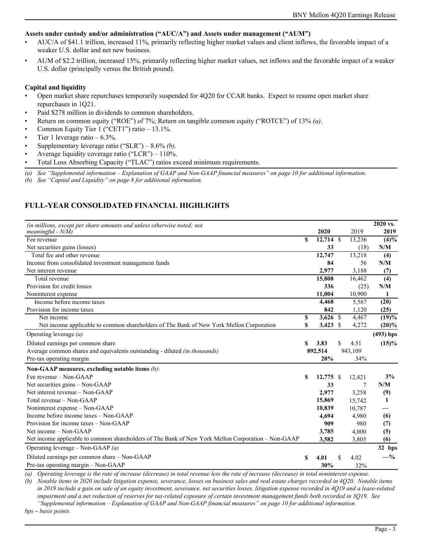#### **Assets under custody and/or administration ("AUC/A") and Assets under management ("AUM")**

- AUC/A of \$41.1 trillion, increased 11%, primarily reflecting higher market values and client inflows, the favorable impact of a weaker U.S. dollar and net new business.
- AUM of \$2.2 trillion, increased 15%, primarily reflecting higher market values, net inflows and the favorable impact of a weaker U.S. dollar (principally versus the British pound).

#### **Capital and liquidity**

- Open market share repurchases temporarily suspended for 4Q20 for CCAR banks. Expect to resume open market share repurchases in 1Q21.
- Paid \$278 million in dividends to common shareholders.
- Return on common equity ("ROE") of 7%; Return on tangible common equity ("ROTCE") of 13% *(a)*.
- Common Equity Tier 1 ("CET1") ratio 13.1%.
- Tier 1 leverage ratio  $-6.3\%$ .
- Supplementary leverage ratio ("SLR") 8.6% *(b).*
- Average liquidity coverage ratio ("LCR")  $110\%$ .
- Total Loss Absorbing Capacity ("TLAC") ratios exceed minimum requirements.
- *(a) See "Supplemental information Explanation of GAAP and Non-GAAP financial measures" on page 10 for additional information.*

*(b) See "Capital and Liquidity" on page 8 for additional information.*

# **FULL-YEAR CONSOLIDATED FINANCIAL HIGHLIGHTS**

| (in millions, except per share amounts and unless otherwise noted; not                             |    |             |            | $2020$ vs.     |
|----------------------------------------------------------------------------------------------------|----|-------------|------------|----------------|
| meaningful - $N/M$ )                                                                               |    | 2020        | 2019       | 2019           |
| Fee revenue                                                                                        | \$ | $12,714$ \$ | 13,236     | $\sqrt{(4)\%}$ |
| Net securities gains (losses)                                                                      |    | 33          | (18)       | N/M            |
| Total fee and other revenue                                                                        |    | 12,747      | 13,218     | (4)            |
| Income from consolidated investment management funds                                               |    | 84          | 56         | N/M            |
| Net interest revenue                                                                               |    | 2,977       | 3,188      | (7)            |
| Total revenue                                                                                      |    | 15,808      | 16,462     | (4)            |
| Provision for credit losses                                                                        |    | 336         | (25)       | N/M            |
| Noninterest expense                                                                                |    | 11,004      | 10,900     | 1              |
| Income before income taxes                                                                         |    | 4,468       | 5,587      | (20)           |
| Provision for income taxes                                                                         |    | 842         | 1,120      | (25)           |
| Net income                                                                                         | \$ | $3,626$ \$  | 4,467      | (19)%          |
| Net income applicable to common shareholders of The Bank of New York Mellon Corporation            | \$ | $3,423$ \$  | 4,272      | $(20)\%$       |
| Operating leverage $(a)$                                                                           |    |             |            | $(493)$ bps    |
| Diluted earnings per common share                                                                  | \$ | 3.83        | \$<br>4.51 | $(15)\%$       |
| Average common shares and equivalents outstanding - diluted (in thousands)                         |    | 892,514     | 943,109    |                |
| Pre-tax operating margin                                                                           |    | 28%         | 34%        |                |
| Non-GAAP measures, excluding notable items (b):                                                    |    |             |            |                |
| Fee revenue – Non-GAAP                                                                             | S  | 12,775 \$   | 12,421     | 3%             |
| Net securities gains – Non-GAAP                                                                    |    | 33          |            | N/M            |
| Net interest revenue – Non-GAAP                                                                    |    | 2,977       | 3,258      | (9)            |
| Total revenue – Non-GAAP                                                                           |    | 15,869      | 15,742     | 1              |
| Noninterest expense – Non-GAAP                                                                     |    | 10,839      | 10,787     |                |
| Income before income taxes - Non-GAAP                                                              |    | 4,694       | 4,980      | (6)            |
| Provision for income taxes - Non-GAAP                                                              |    | 909         | 980        | (7)            |
| Net income $-$ Non-GAAP                                                                            |    | 3,785       | 4,000      | (5)            |
| Net income applicable to common shareholders of The Bank of New York Mellon Corporation - Non-GAAP |    | 3,582       | 3,805      | (6)            |
| Operating leverage – Non-GAAP $(a)$                                                                |    |             |            | 32 bps         |
| Diluted earnings per common share - Non-GAAP                                                       | \$ | 4.01        | 4.02       | $-$ %          |
| Pre-tax operating margin - Non-GAAP                                                                |    | 30%         | 32%        |                |

*(a) Operating leverage is the rate of increase (decrease) in total revenue less the rate of increase (decrease) in total noninterest expense.*

*(b) Notable items in 2020 include litigation expense, severance, losses on business sales and real estate charges recorded in 4Q20. Notable items in 2019 include a gain on sale of an equity investment, severance, net securities losses, litigation expense recorded in 4Q19 and a lease-related impairment and a net reduction of reserves for tax-related exposure of certain investment management funds both recorded in 3Q19. See "Supplemental information – Explanation of GAAP and Non-GAAP financial measures" on page 10 for additional information.*

*bps – basis points.*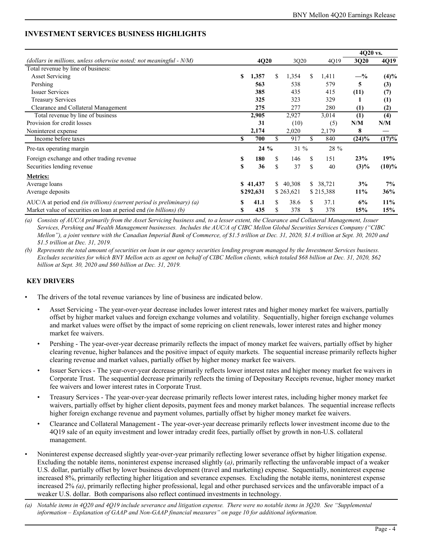# **INVESTMENT SERVICES BUSINESS HIGHLIGHTS**

|                                                                           |    |           |     |           |     |           | 4Q20 vs.         |          |
|---------------------------------------------------------------------------|----|-----------|-----|-----------|-----|-----------|------------------|----------|
| (dollars in millions, unless otherwise noted; not meaningful $- N/M$ )    |    | 4Q20      |     | 3Q20      |     | 4Q19      | 3Q20             | 4Q19     |
| Total revenue by line of business:                                        |    |           |     |           |     |           |                  |          |
| <b>Asset Servicing</b>                                                    | S  | 1,357     | \$. | 1,354     | \$. | 1,411     | $-$ %            | (4)%     |
| Pershing                                                                  |    | 563       |     | 538       |     | 579       | 5                | (3)      |
| <b>Issuer Services</b>                                                    |    | 385       |     | 435       |     | 415       | (11)             | (7)      |
| <b>Treasury Services</b>                                                  |    | 325       |     | 323       |     | 329       |                  | (1)      |
| Clearance and Collateral Management                                       |    | 275       |     | 277       |     | 280       | $\left(1\right)$ | (2)      |
| Total revenue by line of business                                         |    | 2,905     |     | 2,927     |     | 3,014     | (1)              | (4)      |
| Provision for credit losses                                               |    | 31        |     | (10)      |     | (5)       | N/M              | N/M      |
| Noninterest expense                                                       |    | 2,174     |     | 2,020     |     | 2,179     | 8                |          |
| Income before taxes                                                       | \$ | 700       | \$  | 917       | \$  | 840       | $(24)\%$         | (17)%    |
| Pre-tax operating margin                                                  |    | $24\%$    |     | $31 \%$   |     | 28 %      |                  |          |
| Foreign exchange and other trading revenue                                | \$ | 180       | \$  | 146       | \$  | 151       | 23%              | 19%      |
| Securities lending revenue                                                | \$ | 36        | \$  | 37        | \$  | 40        | $(3)\%$          | $(10)\%$ |
| <b>Metrics:</b>                                                           |    |           |     |           |     |           |                  |          |
| Average loans                                                             |    | \$41,437  |     | \$40,308  | \$  | 38,721    | 3%               | 7%       |
| Average deposits                                                          |    | \$292,631 |     | \$263,621 |     | \$215,388 | 11%              | 36%      |
| AUC/A at period end (in trillions) (current period is preliminary) (a)    | S  | 41.1      | \$. | 38.6      | \$. | 37.1      | 6%               | 11%      |
| Market value of securities on loan at period end <i>(in billions) (b)</i> | \$ | 435       | \$  | 378       | S   | 378       | 15%              | 15%      |

*(a) Consists of AUC/A primarily from the Asset Servicing business and, to a lesser extent, the Clearance and Collateral Management, Issuer Services, Pershing and Wealth Management businesses. Includes the AUC/A of CIBC Mellon Global Securities Services Company ("CIBC Mellon"), a joint venture with the Canadian Imperial Bank of Commerce, of \$1.5 trillion at Dec. 31, 2020, \$1.4 trillion at Sept. 30, 2020 and \$1.5 trillion at Dec. 31, 2019.*

*(b) Represents the total amount of securities on loan in our agency securities lending program managed by the Investment Services business. Excludes securities for which BNY Mellon acts as agent on behalf of CIBC Mellon clients, which totaled \$68 billion at Dec. 31, 2020, \$62 billion at Sept. 30, 2020 and \$60 billion at Dec. 31, 2019.*

# **KEY DRIVERS**

- The drivers of the total revenue variances by line of business are indicated below.
	- Asset Servicing The year-over-year decrease includes lower interest rates and higher money market fee waivers, partially offset by higher market values and foreign exchange volumes and volatility. Sequentially, higher foreign exchange volumes and market values were offset by the impact of some repricing on client renewals, lower interest rates and higher money market fee waivers.
	- Pershing The year-over-year decrease primarily reflects the impact of money market fee waivers, partially offset by higher clearing revenue, higher balances and the positive impact of equity markets. The sequential increase primarily reflects higher clearing revenue and market values, partially offset by higher money market fee waivers.
	- Issuer Services The year-over-year decrease primarily reflects lower interest rates and higher money market fee waivers in Corporate Trust. The sequential decrease primarily reflects the timing of Depositary Receipts revenue, higher money market fee waivers and lower interest rates in Corporate Trust.
	- Treasury Services The year-over-year decrease primarily reflects lower interest rates, including higher money market fee waivers, partially offset by higher client deposits, payment fees and money market balances. The sequential increase reflects higher foreign exchange revenue and payment volumes, partially offset by higher money market fee waivers.
	- Clearance and Collateral Management The year-over-year decrease primarily reflects lower investment income due to the 4Q19 sale of an equity investment and lower intraday credit fees, partially offset by growth in non-U.S. collateral management.
- Noninterest expense decreased slightly year-over-year primarily reflecting lower severance offset by higher litigation expense. Excluding the notable items, noninterest expense increased slightly (*a)*, primarily reflecting the unfavorable impact of a weaker U.S. dollar, partially offset by lower business development (travel and marketing) expense. Sequentially, noninterest expense increased 8%, primarily reflecting higher litigation and severance expenses. Excluding the notable items, noninterest expense increased 2% *(a)*, primarily reflecting higher professional, legal and other purchased services and the unfavorable impact of a weaker U.S. dollar. Both comparisons also reflect continued investments in technology.
- *(a) Notable items in 4Q20 and 4Q19 include severance and litigation expense. There were no notable items in 3Q20. See "Supplemental information – Explanation of GAAP and Non-GAAP financial measures" on page 10 for additional information.*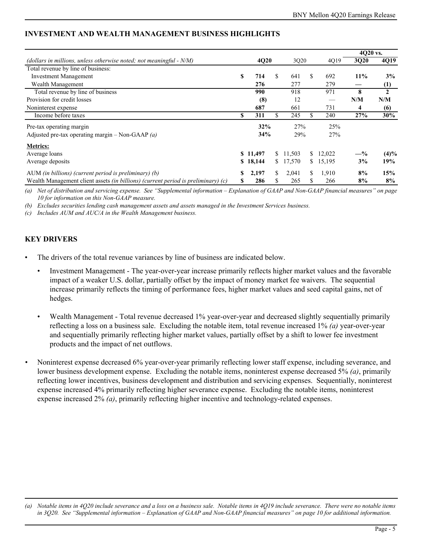|                                                                                          |    |          |             |    |        | 4020 vs. |         |
|------------------------------------------------------------------------------------------|----|----------|-------------|----|--------|----------|---------|
| (dollars in millions, unless otherwise noted; not meaningful $- N/M$ )                   |    | 4Q20     | 3Q20        |    | 4Q19   | 3Q20     | 4Q19    |
| Total revenue by line of business:                                                       |    |          |             |    |        |          |         |
| <b>Investment Management</b>                                                             | S  | 714      | \$<br>641   | S  | 692    | 11%      | 3%      |
| Wealth Management                                                                        |    | 276      | 277         |    | 279    |          | (1)     |
| Total revenue by line of business                                                        |    | 990      | 918         |    | 971    | 8        | 2       |
| Provision for credit losses                                                              |    | (8)      | 12          |    |        | N/M      | N/M     |
| Noninterest expense                                                                      |    | 687      | 661         |    | 731    | 4        | (6)     |
| Income before taxes                                                                      | S  | 311      | \$<br>245   | S  | 240    | 27%      | 30%     |
| Pre-tax operating margin                                                                 |    | 32%      | 27%         |    | 25%    |          |         |
| Adjusted pre-tax operating margin – Non-GAAP $(a)$                                       |    | 34%      | 29%         |    | 27%    |          |         |
| <b>Metrics:</b>                                                                          |    |          |             |    |        |          |         |
| Average loans                                                                            |    | \$11,497 | \$11,503    | S. | 12,022 | $-$ %    | $(4)\%$ |
| Average deposits                                                                         | S. | 18,144   | \$17,570    | S. | 15,195 | 3%       | 19%     |
| AUM (in billions) (current period is preliminary) $(b)$                                  | S  | 2,197    | \$<br>2,041 | S. | 1,910  | 8%       | 15%     |
| Wealth Management client assets <i>(in billions) (current period is preliminary) (c)</i> | S  | 286      | \$<br>265   |    | 266    | 8%       | 8%      |

# **INVESTMENT AND WEALTH MANAGEMENT BUSINESS HIGHLIGHTS**

*(a) Net of distribution and servicing expense. See "Supplemental information – Explanation of GAAP and Non-GAAP financial measures" on page 10 for information on this Non-GAAP measure.* 

*(b) Excludes securities lending cash management assets and assets managed in the Investment Services business.*

*(c) Includes AUM and AUC/A in the Wealth Management business.* 

# **KEY DRIVERS**

- The drivers of the total revenue variances by line of business are indicated below.
	- Investment Management The year-over-year increase primarily reflects higher market values and the favorable impact of a weaker U.S. dollar, partially offset by the impact of money market fee waivers. The sequential increase primarily reflects the timing of performance fees, higher market values and seed capital gains, net of hedges.
	- Wealth Management Total revenue decreased 1% year-over-year and decreased slightly sequentially primarily reflecting a loss on a business sale. Excluding the notable item, total revenue increased 1% *(a)* year-over-year and sequentially primarily reflecting higher market values, partially offset by a shift to lower fee investment products and the impact of net outflows.
- *•* Noninterest expense decreased 6% year-over-year primarily reflecting lower staff expense, including severance, and lower business development expense. Excluding the notable items, noninterest expense decreased 5% *(a)*, primarily reflecting lower incentives, business development and distribution and servicing expenses. Sequentially, noninterest expense increased 4% primarily reflecting higher severance expense. Excluding the notable items, noninterest expense increased 2% *(a)*, primarily reflecting higher incentive and technology-related expenses.

*<sup>(</sup>a) Notable items in 4Q20 include severance and a loss on a business sale. Notable items in 4Q19 include severance. There were no notable items in 3Q20. See "Supplemental information – Explanation of GAAP and Non-GAAP financial measures" on page 10 for additional information.*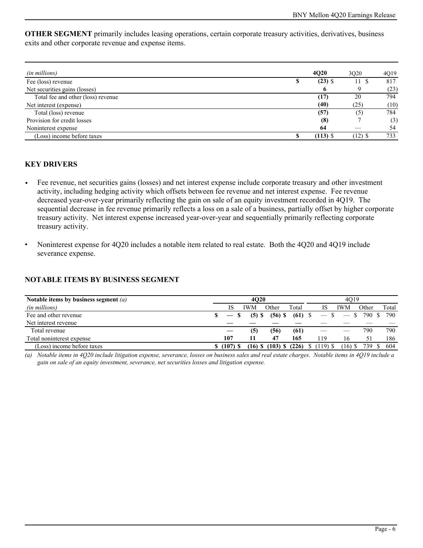**OTHER SEGMENT** primarily includes leasing operations, certain corporate treasury activities, derivatives, business exits and other corporate revenue and expense items.

| (in millions)                      |   | <b>4020</b> | 3020   | 4Q19 |
|------------------------------------|---|-------------|--------|------|
| Fee (loss) revenue                 | D | $(23)$ \$   | 11 S   | 817  |
| Net securities gains (losses)      |   | 6           |        | (23) |
| Total fee and other (loss) revenue |   | (17)        | 20     | 794  |
| Net interest (expense)             |   | (40)        | (25)   | (10) |
| Total (loss) revenue               |   | (57)        | (5)    | 784  |
| Provision for credit losses        |   | (8)         |        | (3)  |
| Noninterest expense                |   | 64          |        | 54   |
| (Loss) income before taxes         |   | $(113)$ \$  | (12) S | 733  |

# **KEY DRIVERS**

- *•* Fee revenue, net securities gains (losses) and net interest expense include corporate treasury and other investment activity, including hedging activity which offsets between fee revenue and net interest expense. Fee revenue decreased year-over-year primarily reflecting the gain on sale of an equity investment recorded in 4Q19. The sequential decrease in fee revenue primarily reflects a loss on a sale of a business, partially offset by higher corporate treasury activity. Net interest expense increased year-over-year and sequentially primarily reflecting corporate treasury activity.
- Noninterest expense for 4Q20 includes a notable item related to real estate. Both the 4Q20 and 4Q19 include severance expense.

# **NOTABLE ITEMS BY BUSINESS SEGMENT**

| Notable items by business segment $(a)$ | <b>4020</b> |            |            |                              |           |  | 4019       |            |                  |       |  |  |
|-----------------------------------------|-------------|------------|------------|------------------------------|-----------|--|------------|------------|------------------|-------|--|--|
| (in millions)                           |             | IS         | <b>IWM</b> | Other                        | Total     |  | IS         | <b>IWM</b> | Other            | Total |  |  |
| Fee and other revenue                   |             | - SS       | $(5)$ \$   | $(56)$ \$                    | $(61)$ \$ |  | $-$ \$     |            | $-$ \$ 790 \$    | 790   |  |  |
| Net interest revenue                    |             |            |            |                              |           |  |            |            |                  |       |  |  |
| Total revenue                           |             |            | (5)        | (56)                         | (61)      |  |            |            | 790              | 790   |  |  |
| Total noninterest expense               |             | 107        |            | 47                           | 165       |  | 119        | 16         |                  | 186   |  |  |
| (Loss) income before taxes              |             | $$(107)$ S |            | $(16)$ \$ $(103)$ \$ $(226)$ |           |  | $$(119)$ S |            | $(16)$ \$ 739 \$ | 604   |  |  |

*(a) Notable items in 4Q20 include litigation expense, severance, losses on business sales and real estate charges. Notable items in 4Q19 include a gain on sale of an equity investment, severance, net securities losses and litigation expense.*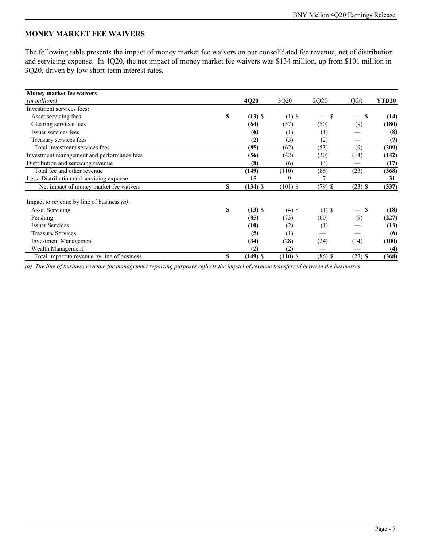# **MONEY MARKET FEE WAIVERS**

The following table presents the impact of money market fee waivers on our consolidated fee revenue, net of distribution and servicing expense. In 4Q20, the net impact of money market fee waivers was \$134 million, up from \$101 million in 3Q20, driven by low short-term interest rates.

| Money market fee waivers                      |    |            |            |           |           |                   |
|-----------------------------------------------|----|------------|------------|-----------|-----------|-------------------|
| (in millions)                                 |    | 4Q20       | 3Q20       | 2Q20      | 1Q20      | YTD <sub>20</sub> |
| Investment services fees:                     |    |            |            |           |           |                   |
| Asset servicing fees                          | \$ | $(13)$ \$  | $(1)$ \$   | \$        | S         | (14)              |
| Clearing services fees                        |    | (64)       | (57)       | (50)      | (9)       | (180)             |
| Issuer services fees                          |    | (6)        | (1)        | (1)       |           | (8)               |
| Treasury services fees                        |    | (2)        | (3)        | (2)       |           | (7)               |
| Total investment services fees                |    | (85)       | (62)       | (53)      | (9)       | (209)             |
| Investment management and performance fees    |    | (56)       | (42)       | (30)      | (14)      | (142)             |
| Distribution and servicing revenue            |    | (8)        | (6)        | (3)       |           | (17)              |
| Total fee and other revenue                   |    | (149)      | (110)      | (86)      | (23)      | (368)             |
| Less: Distribution and servicing expense      |    | 15         | 9          |           |           | 31                |
| Net impact of money market fee waivers        | \$ | $(134)$ \$ | $(101)$ \$ | $(79)$ \$ | $(23)$ \$ | (337)             |
| Impact to revenue by line of business $(a)$ : |    |            |            |           |           |                   |
| <b>Asset Servicing</b>                        | S  | $(13)$ \$  | $(4)$ \$   | $(1)$ \$  | S         | (18)              |
| Pershing                                      |    | (85)       | (73)       | (60)      | (9)       | (227)             |
| <b>Issuer Services</b>                        |    | (10)       | (2)        | (1)       |           | (13)              |
| <b>Treasury Services</b>                      |    | (5)        | (1)        |           |           | (6)               |
| <b>Investment Management</b>                  |    | (34)       | (28)       | (24)      | (14)      | (100)             |
| Wealth Management                             |    | (2)        | (2)        |           |           | (4)               |
| Total impact to revenue by line of business   | \$ | $(149)$ \$ | $(110)$ \$ | $(86)$ \$ | $(23)$ \$ | (368)             |

*(a) The line of business revenue for management reporting purposes reflects the impact of revenue transferred between the businesses.*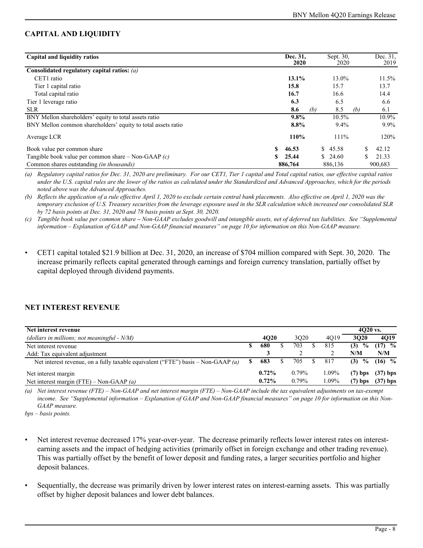# **CAPITAL AND LIQUIDITY**

| Capital and liquidity ratios                                 | Dec. 31,<br><b>2020</b> |     | Sept. 30.<br>2020 |     | Dec. 31.<br>2019 |
|--------------------------------------------------------------|-------------------------|-----|-------------------|-----|------------------|
| Consolidated regulatory capital ratios: $(a)$                |                         |     |                   |     |                  |
| CET1 ratio                                                   | 13.1%                   |     | 13.0%             |     | $11.5\%$         |
| Tier 1 capital ratio                                         | 15.8                    |     | 15.7              |     | 13.7             |
| Total capital ratio                                          | 16.7                    |     | 16.6              |     | 14.4             |
| Tier 1 leverage ratio                                        | 6.3                     |     | 6.5               |     | 6.6              |
| <b>SLR</b>                                                   | 8.6                     | (b) | 8.5               | (b) | 6.1              |
| BNY Mellon shareholders' equity to total assets ratio        | $9.8\%$                 |     | $10.5\%$          |     | 10.9%            |
| BNY Mellon common shareholders' equity to total assets ratio | 8.8%                    |     | $9.4\%$           |     | $9.9\%$          |
| Average LCR                                                  | 110%                    |     | 111%              |     | 120%             |
| Book value per common share                                  | 46.53                   |     | \$45.58           |     | 42.12            |
| Tangible book value per common share – Non-GAAP $(c)$        | 25.44                   |     | \$24.60           |     | 21.33            |
| Common shares outstanding <i>(in thousands)</i>              | 886,764                 |     | 886,136           |     | 900,683          |

*(a) Regulatory capital ratios for Dec. 31, 2020 are preliminary. For our CET1, Tier 1 capital and Total capital ratios, our effective capital ratios under the U.S. capital rules are the lower of the ratios as calculated under the Standardized and Advanced Approaches, which for the periods noted above was the Advanced Approaches.*

*(b) Reflects the application of a rule effective April 1, 2020 to exclude certain central bank placements. Also effective on April 1, 2020 was the temporary exclusion of U.S. Treasury securities from the leverage exposure used in the SLR calculation which increased our consolidated SLR by 72 basis points at Dec. 31, 2020 and 78 basis points at Sept. 30, 2020.* 

*(c) Tangible book value per common share – Non-GAAP excludes goodwill and intangible assets, net of deferred tax liabilities. See "Supplemental information – Explanation of GAAP and Non-GAAP financial measures" on page 10 for information on this Non-GAAP measure.*

• CET1 capital totaled \$21.9 billion at Dec. 31, 2020, an increase of \$704 million compared with Sept. 30, 2020. The increase primarily reflects capital generated through earnings and foreign currency translation, partially offset by capital deployed through dividend payments.

# **NET INTEREST REVENUE**

| Net interest revenue                                                             |   |          |          |   |          | $4020$ vs.            |            |
|----------------------------------------------------------------------------------|---|----------|----------|---|----------|-----------------------|------------|
| (dollars in millions; not meaningful $- N/M$ )                                   |   | 4020     | 3020     |   | 4019     | 3020                  | 4019       |
| Net interest revenue                                                             |   | 680      | 703      |   | 815      | $\frac{6}{10}$<br>(3) | $(17)$ %   |
| Add: Tax equivalent adjustment                                                   |   |          |          |   |          | N/M                   | N/M        |
| Net interest revenue, on a fully taxable equivalent ("FTE") basis – Non-GAAP (a) | S | 683      | 705      | S | 817      | $\frac{0}{0}$<br>(3)  | $(16)$ %   |
| Net interest margin                                                              |   | $0.72\%$ | $0.79\%$ |   | 1.09%    | $(7)$ bps             | $(37)$ bps |
| Net interest margin (FTE) – Non-GAAP (a)                                         |   | $0.72\%$ | $0.79\%$ |   | $0.09\%$ | $(7)$ bps             | $(37)$ bps |

*(a) Net interest revenue (FTE) – Non-GAAP and net interest margin (FTE) – Non-GAAP include the tax equivalent adjustments on tax-exempt income. See "Supplemental information – Explanation of GAAP and Non-GAAP financial measures" on page 10 for information on this Non-GAAP measure.* 

*bps – basis points.*

- Net interest revenue decreased 17% year-over-year. The decrease primarily reflects lower interest rates on interestearning assets and the impact of hedging activities (primarily offset in foreign exchange and other trading revenue). This was partially offset by the benefit of lower deposit and funding rates, a larger securities portfolio and higher deposit balances.
- Sequentially, the decrease was primarily driven by lower interest rates on interest-earning assets. This was partially offset by higher deposit balances and lower debt balances.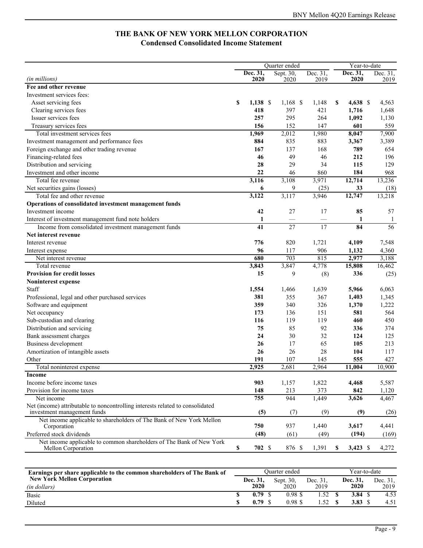# **THE BANK OF NEW YORK MELLON CORPORATION Condensed Consolidated Income Statement**

|                                                                                     | Quarter ended |            |                 |                 |    | Year-to-date |              |  |  |  |
|-------------------------------------------------------------------------------------|---------------|------------|-----------------|-----------------|----|--------------|--------------|--|--|--|
|                                                                                     |               | Dec. 31,   | Sept. 30,       | Dec. 31,        |    | Dec. 31,     | Dec. 31,     |  |  |  |
| (in millions)                                                                       |               | 2020       | 2020            | 2019            |    | 2020         | 2019         |  |  |  |
| Fee and other revenue                                                               |               |            |                 |                 |    |              |              |  |  |  |
| Investment services fees:                                                           |               |            |                 |                 |    |              |              |  |  |  |
| Asset servicing fees                                                                | S             | $1,138$ \$ | $1,168$ \$      | 1,148           | \$ | $4,638$ \$   | 4,563        |  |  |  |
| Clearing services fees                                                              |               | 418        | 397             | 421             |    | 1,716        | 1,648        |  |  |  |
| Issuer services fees                                                                |               | 257        | 295             | 264             |    | 1,092        | 1,130        |  |  |  |
| Treasury services fees                                                              |               | 156        | 152             | 147             |    | 601          | 559          |  |  |  |
| Total investment services fees                                                      |               | 1,969      | 2,012           | 1,980           |    | 8,047        | 7,900        |  |  |  |
| Investment management and performance fees                                          |               | 884        | 835             | 883             |    | 3,367        | 3,389        |  |  |  |
| Foreign exchange and other trading revenue                                          |               | 167        | 137             | 168             |    | 789          | 654          |  |  |  |
| Financing-related fees                                                              |               | 46         | 49              | 46              |    | 212          | 196          |  |  |  |
| Distribution and servicing                                                          |               | 28         | 29              | 34              |    | 115          | 129          |  |  |  |
| Investment and other income                                                         |               | 22         | 46              | 860             |    | 184          | 968          |  |  |  |
| Total fee revenue                                                                   |               | 3,116      | 3,108           | 3,971           |    | 12,714       | 13,236       |  |  |  |
| Net securities gains (losses)                                                       |               | 6          | 9               | (25)            |    | 33           | (18)         |  |  |  |
| Total fee and other revenue                                                         |               | 3,122      | 3,117           | 3,946           |    | 12,747       | 13,218       |  |  |  |
| Operations of consolidated investment management funds                              |               |            |                 |                 |    |              |              |  |  |  |
| Investment income                                                                   |               | 42         | 27              | 17              |    | 85           | 57           |  |  |  |
| Interest of investment management fund note holders                                 |               | 1          |                 |                 |    | 1            | $\mathbf{1}$ |  |  |  |
| Income from consolidated investment management funds                                |               | 41         | $\overline{27}$ | $\overline{17}$ |    | 84           | 56           |  |  |  |
| Net interest revenue                                                                |               |            |                 |                 |    |              |              |  |  |  |
| Interest revenue                                                                    |               | 776        | 820             | 1,721           |    | 4,109        | 7,548        |  |  |  |
| Interest expense                                                                    |               | 96         | 117             | 906             |    | 1,132        | 4,360        |  |  |  |
| Net interest revenue                                                                |               | 680        | 703             | 815             |    | 2,977        | 3,188        |  |  |  |
| Total revenue                                                                       |               | 3,843      | 3,847           | 4,778           |    | 15,808       | 16,462       |  |  |  |
| <b>Provision for credit losses</b>                                                  |               | 15         | 9               | (8)             |    | 336          | (25)         |  |  |  |
| Noninterest expense                                                                 |               |            |                 |                 |    |              |              |  |  |  |
| Staff                                                                               |               | 1,554      | 1,466           | 1,639           |    | 5,966        | 6,063        |  |  |  |
| Professional, legal and other purchased services                                    |               | 381        | 355             | 367             |    | 1,403        | 1,345        |  |  |  |
| Software and equipment                                                              |               | 359        | 340             | 326             |    | 1,370        | 1,222        |  |  |  |
| Net occupancy                                                                       |               | 173        | 136             | 151             |    | 581          | 564          |  |  |  |
| Sub-custodian and clearing                                                          |               | 116        | 119             | 119             |    | 460          | 450          |  |  |  |
| Distribution and servicing                                                          |               | 75         | 85              | 92              |    | 336          | 374          |  |  |  |
| Bank assessment charges                                                             |               | 24         | 30              | 32              |    | 124          | 125          |  |  |  |
| Business development                                                                |               | 26         | 17              | 65              |    | 105          | 213          |  |  |  |
| Amortization of intangible assets                                                   |               | 26         | 26              | 28              |    | 104          | 117          |  |  |  |
| Other                                                                               |               | 191        | 107             | 145             |    | 555          | 427          |  |  |  |
| Total noninterest expense                                                           |               | 2,925      | 2,681           | 2,964           |    | 11,004       | 10,900       |  |  |  |
| Income                                                                              |               |            |                 |                 |    |              |              |  |  |  |
| Income before income taxes                                                          |               | 903        | 1,157           | 1,822           |    | 4,468        | 5,587        |  |  |  |
| Provision for income taxes                                                          |               | 148        | 213             | 373             |    | 842          | 1,120        |  |  |  |
| Net income                                                                          |               | 755        | 944             | 1,449           |    | 3,626        | 4,467        |  |  |  |
| Net (income) attributable to noncontrolling interests related to consolidated       |               |            |                 |                 |    |              |              |  |  |  |
| investment management funds                                                         |               | (5)        | (7)             | (9)             |    | (9)          | (26)         |  |  |  |
| Net income applicable to shareholders of The Bank of New York Mellon<br>Corporation |               | 750        | 937             | 1,440           |    | 3,617        | 4,441        |  |  |  |
| Preferred stock dividends                                                           |               | (48)       | (61)            | (49)            |    | (194)        |              |  |  |  |
| Net income applicable to common shareholders of The Bank of New York                |               |            |                 |                 |    |              | (169)        |  |  |  |
| <b>Mellon Corporation</b>                                                           | \$            | 702S       | 876 \$          | 1,391           | S  | $3,423$ \$   | 4,272        |  |  |  |

| Earnings per share applicable to the common shareholders of The Bank of |          | Ouarter ended | Year-to-date |          |          |      |
|-------------------------------------------------------------------------|----------|---------------|--------------|----------|----------|------|
| <b>New York Mellon Corporation</b>                                      | Dec. 31, | Sept. 30.     | Dec. 31.     | Dec. 31, | Dec. 31, |      |
| (in dollars)                                                            | 2020     | 2020          | 2019         | 2020     |          | 2019 |
| Basic                                                                   | 0.79     | 0.98 \$       |              | 3.84     |          | 4.53 |
| Diluted                                                                 | 0.79     | 0.98S         |              | 3.83     |          | 4.51 |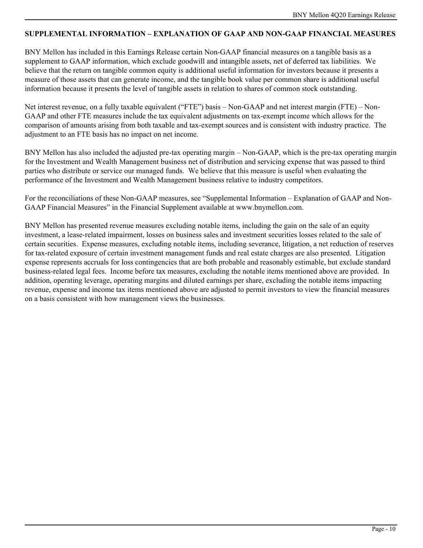# **SUPPLEMENTAL INFORMATION – EXPLANATION OF GAAP AND NON-GAAP FINANCIAL MEASURES**

BNY Mellon has included in this Earnings Release certain Non-GAAP financial measures on a tangible basis as a supplement to GAAP information, which exclude goodwill and intangible assets, net of deferred tax liabilities. We believe that the return on tangible common equity is additional useful information for investors because it presents a measure of those assets that can generate income, and the tangible book value per common share is additional useful information because it presents the level of tangible assets in relation to shares of common stock outstanding.

Net interest revenue, on a fully taxable equivalent ("FTE") basis – Non-GAAP and net interest margin (FTE) – Non-GAAP and other FTE measures include the tax equivalent adjustments on tax-exempt income which allows for the comparison of amounts arising from both taxable and tax-exempt sources and is consistent with industry practice. The adjustment to an FTE basis has no impact on net income.

BNY Mellon has also included the adjusted pre-tax operating margin – Non-GAAP, which is the pre-tax operating margin for the Investment and Wealth Management business net of distribution and servicing expense that was passed to third parties who distribute or service our managed funds. We believe that this measure is useful when evaluating the performance of the Investment and Wealth Management business relative to industry competitors.

For the reconciliations of these Non-GAAP measures, see "Supplemental Information – Explanation of GAAP and Non-GAAP Financial Measures" in the Financial Supplement available at www.bnymellon.com.

BNY Mellon has presented revenue measures excluding notable items, including the gain on the sale of an equity investment, a lease-related impairment, losses on business sales and investment securities losses related to the sale of certain securities. Expense measures, excluding notable items, including severance, litigation, a net reduction of reserves for tax-related exposure of certain investment management funds and real estate charges are also presented. Litigation expense represents accruals for loss contingencies that are both probable and reasonably estimable, but exclude standard business-related legal fees. Income before tax measures, excluding the notable items mentioned above are provided. In addition, operating leverage, operating margins and diluted earnings per share, excluding the notable items impacting revenue, expense and income tax items mentioned above are adjusted to permit investors to view the financial measures on a basis consistent with how management views the businesses.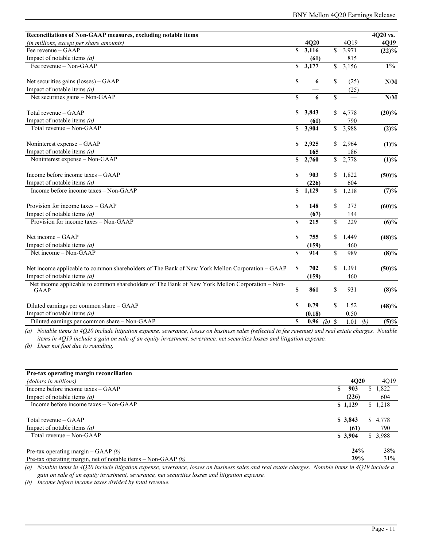| Reconciliations of Non-GAAP measures, excluding notable items                                                 |                         |                       |              |                          | 4Q20 vs.    |
|---------------------------------------------------------------------------------------------------------------|-------------------------|-----------------------|--------------|--------------------------|-------------|
| (in millions, except per share amounts)                                                                       |                         | 4Q20                  |              | 4Q19                     | 4Q19        |
| Fee revenue – GAAP                                                                                            | $\overline{\mathbf{s}}$ | 3,116                 | $\mathbb{S}$ | 3,971                    | $(22)\%$    |
| Impact of notable items $(a)$                                                                                 |                         | (61)                  |              | 815                      |             |
| Fee revenue - Non-GAAP                                                                                        | S                       | 3,177                 | $\mathbb{S}$ | 3,156                    | $1\%$       |
| Net securities gains (losses) – GAAP                                                                          | \$                      | 6                     | \$           | (25)                     | N/M         |
| Impact of notable items $(a)$                                                                                 |                         |                       |              | (25)                     |             |
| Net securities gains - Non-GAAP                                                                               | $\mathbf S$             | 6                     | \$           | $\overline{\phantom{0}}$ | N/M         |
| Total revenue – GAAP                                                                                          | \$                      | 3,843                 | \$           | 4,778                    | $(20)\%$    |
| Impact of notable items $(a)$                                                                                 |                         | (61)                  |              | 790                      |             |
| Total revenue - Non-GAAP                                                                                      |                         | $\overline{\$}$ 3,904 |              | $\overline{\$}$ 3,988    | $(2)\%$     |
| Noninterest expense – GAAP                                                                                    | S                       | 2,925                 | S.           | 2,964                    | (1)%        |
| Impact of notable items $(a)$                                                                                 |                         | 165                   |              | 186                      |             |
| Noninterest expense - Non-GAAP                                                                                | \$                      | 2,760                 |              | \$2,778                  | (1)%        |
| Income before income taxes - GAAP                                                                             | S                       | 903                   | \$           | 1,822                    | (50)%       |
| Impact of notable items $(a)$                                                                                 |                         | (226)                 |              | 604                      |             |
| Income before income taxes - Non-GAAP                                                                         | \$                      | 1,129                 | $\mathbb{S}$ | 1,218                    | (7)%        |
| Provision for income taxes - GAAP                                                                             | S                       | 148                   | \$           | 373                      | (60)%       |
| Impact of notable items $(a)$                                                                                 |                         | (67)                  |              | 144                      |             |
| Provision for income taxes - Non-GAAP                                                                         | $\mathbf S$             | 215                   | \$           | 229                      | $(6)\%$     |
| Net income – GAAP                                                                                             | \$                      | 755                   | \$           | 1,449                    | (48)%       |
| Impact of notable items $(a)$                                                                                 |                         | (159)                 |              | 460                      |             |
| Net income – Non-GAAP                                                                                         | $\overline{\mathbf{s}}$ | 914                   | \$           | 989                      | $(8)\%$     |
| Net income applicable to common shareholders of The Bank of New York Mellon Corporation - GAAP                | \$                      | 702                   | \$           | 1,391                    | (50)%       |
| Impact of notable items $(a)$                                                                                 |                         | (159)                 |              | 460                      |             |
| Net income applicable to common shareholders of The Bank of New York Mellon Corporation - Non-<br><b>GAAP</b> | \$                      | 861                   | \$           | 931                      | $(8)\%$     |
| Diluted earnings per common share - GAAP                                                                      | S                       | 0.79                  | \$           | 1.52                     | (48)%       |
| Impact of notable items $(a)$                                                                                 |                         | (0.18)                |              | 0.50                     |             |
| Diluted earnings per common share - Non-GAAP                                                                  | \$                      | 0.96                  | $(b)$ \$     | 1.01                     | (5)%<br>(b) |

*(a) Notable items in 4Q20 include litigation expense, severance, losses on business sales (reflected in fee revenue) and real estate charges. Notable items in 4Q19 include a gain on sale of an equity investment, severance, net securities losses and litigation expense.* 

*(b) Does not foot due to rounding.*

| Pre-tax operating margin reconciliation                         |             |    |          |
|-----------------------------------------------------------------|-------------|----|----------|
| (dollars in millions)                                           | <b>4020</b> |    | 4Q19     |
| Income before income taxes – GAAP<br>\$                         | 903         | S. | 1,822    |
| Impact of notable items $(a)$                                   | (226)       |    | 604      |
| Income before income taxes – Non-GAAP                           | \$1,129     | S. | 1,218    |
|                                                                 |             |    |          |
| Total revenue – GAAP                                            | \$3,843     |    | \$ 4,778 |
| Impact of notable items $(a)$                                   | (61)        |    | 790      |
| Total revenue – Non-GAAP                                        | \$3,904     |    | \$3.988  |
|                                                                 |             |    |          |
| Pre-tax operating margin – GAAP $(b)$                           | 24%         |    | 38%      |
| Pre-tax operating margin, net of notable items – Non-GAAP $(b)$ | 29%         |    | 31%      |

*(a) Notable items in 4Q20 include litigation expense, severance, losses on business sales and real estate charges. Notable items in 4Q19 include a gain on sale of an equity investment, severance, net securities losses and litigation expense.* 

*(b) Income before income taxes divided by total revenue.*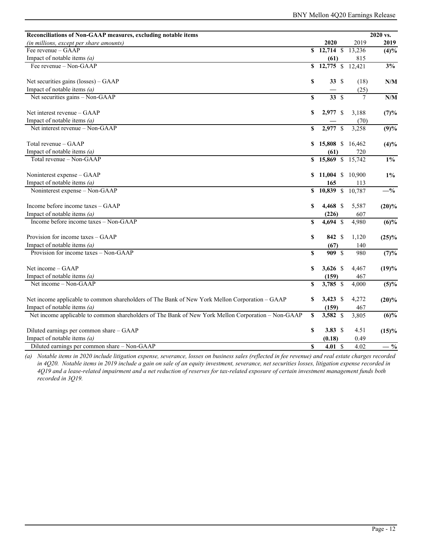| Reconciliations of Non-GAAP measures, excluding notable items                                      |    |                                                   |        | 2020 vs. |
|----------------------------------------------------------------------------------------------------|----|---------------------------------------------------|--------|----------|
| (in millions, except per share amounts)                                                            |    | 2020                                              | 2019   | 2019     |
| Fee revenue – GAAP                                                                                 |    | $\overline{\text{S} \quad 12,714} \quad \text{S}$ | 13,236 | (4)%     |
| Impact of notable items $(a)$                                                                      |    | (61)                                              | 815    |          |
| Fee revenue $-$ Non-GAAP                                                                           |    | \$12,775 \$12,421                                 |        | 3%       |
| Net securities gains (losses) - GAAP                                                               | \$ | 33S                                               | (18)   | N/M      |
| Impact of notable items $(a)$                                                                      |    |                                                   | (25)   |          |
| Net securities gains - Non-GAAP                                                                    | \$ | 33S                                               | 7      | N/M      |
| Net interest revenue - GAAP                                                                        | \$ | 2,977 \$                                          | 3,188  | (7)%     |
| Impact of notable items $(a)$                                                                      |    |                                                   | (70)   |          |
| Net interest revenue - Non-GAAP                                                                    | \$ | 2,977 \$                                          | 3,258  | (9)%     |
| Total revenue - GAAP                                                                               | S  | 15,808 \$ 16,462                                  |        | (4)%     |
| Impact of notable items $(a)$                                                                      |    | (61)                                              | 720    |          |
| Total revenue – Non-GAAP                                                                           |    | \$15,869 \$15,742                                 |        | $1\%$    |
| Noninterest expense - GAAP                                                                         | \$ | 11,004 \$ 10,900                                  |        | $1\%$    |
| Impact of notable items $(a)$                                                                      |    | 165                                               | 113    |          |
| Noninterest expense - Non-GAAP                                                                     | S. | $10,839$ \$                                       | 10,787 | $-$ %    |
| Income before income taxes – GAAP                                                                  | S  | $4,468$ \$                                        | 5,587  | $(20)\%$ |
| Impact of notable items $(a)$                                                                      |    | (226)                                             | 607    |          |
| Income before income taxes – Non-GAAP                                                              | \$ | 4,694 \$                                          | 4,980  | (6)%     |
| Provision for income taxes - GAAP                                                                  | \$ | 842 \$                                            | 1,120  | (25)%    |
| Impact of notable items $(a)$                                                                      |    | (67)                                              | 140    |          |
| Provision for income taxes - Non-GAAP                                                              | \$ | 909 \$                                            | 980    | (7)%     |
| Net income – GAAP                                                                                  | \$ | $3,626$ \$                                        | 4,467  | (19)%    |
| Impact of notable items $(a)$                                                                      |    | (159)                                             | 467    |          |
| Net income – Non-GAAP                                                                              | S  | $3,785$ \$                                        | 4,000  | $(5)\%$  |
| Net income applicable to common shareholders of The Bank of New York Mellon Corporation - GAAP     | \$ | $3,423$ \$                                        | 4,272  | $(20)\%$ |
| Impact of notable items $(a)$                                                                      |    | (159)                                             | 467    |          |
| Net income applicable to common shareholders of The Bank of New York Mellon Corporation - Non-GAAP | S  | 3,582 \$                                          | 3,805  | (6)%     |
| Diluted earnings per common share - GAAP                                                           | \$ | 3.83 $$$                                          | 4.51   | (15)%    |
| Impact of notable items $(a)$                                                                      |    | (0.18)                                            | 0.49   |          |
| Diluted earnings per common share - Non-GAAP                                                       | \$ | 4.01 <sub>5</sub>                                 | 4.02   | $-$ %    |

*(a) Notable items in 2020 include litigation expense, severance, losses on business sales (reflected in fee revenue) and real estate charges recorded in 4Q20. Notable items in 2019 include a gain on sale of an equity investment, severance, net securities losses, litigation expense recorded in 4Q19 and a lease-related impairment and a net reduction of reserves for tax-related exposure of certain investment management funds both recorded in 3Q19.*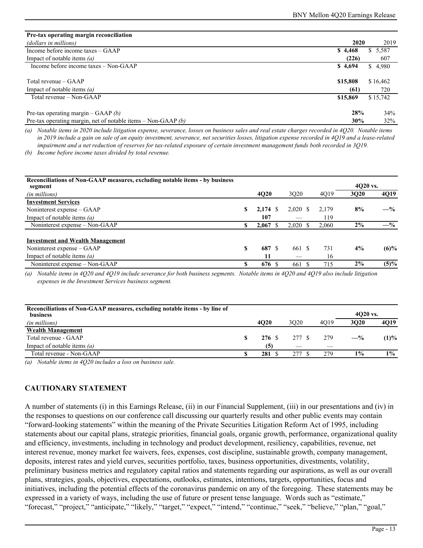| Pre-tax operating margin reconciliation                         |          |             |
|-----------------------------------------------------------------|----------|-------------|
| (dollars in millions)                                           | 2020     | 2019        |
| Income before income taxes – GAAP                               | \$4,468  | 5,587<br>S. |
| Impact of notable items $(a)$                                   | (226)    | 607         |
| Income before income taxes – Non-GAAP                           | \$4,694  | \$4,980     |
|                                                                 |          |             |
| Total revenue – GAAP                                            | \$15,808 | \$16,462    |
| Impact of notable items $(a)$                                   | (61)     | 720         |
| Total revenue – Non-GAAP                                        | \$15,869 | \$15,742    |
|                                                                 |          |             |
| Pre-tax operating margin – GAAP $(b)$                           | 28%      | 34%         |
| Pre-tax operating margin, net of notable items – Non-GAAP $(b)$ | 30%      | 32%         |

*(a) Notable items in 2020 include litigation expense, severance, losses on business sales and real estate charges recorded in 4Q20. Notable items in 2019 include a gain on sale of an equity investment, severance, net securities losses, litigation expense recorded in 4Q19 and a lease-related impairment and a net reduction of reserves for tax-related exposure of certain investment management funds both recorded in 3Q19.* 

*(b) Income before income taxes divided by total revenue.*

| Reconciliations of Non-GAAP measures, excluding notable items - by business<br>segment |    |            |                     | 4020 vs. |       |         |
|----------------------------------------------------------------------------------------|----|------------|---------------------|----------|-------|---------|
| (in millions)                                                                          |    | 4Q20       | 3Q20                | 4Q19     | 3020  | 4Q19    |
| <b>Investment Services</b>                                                             |    |            |                     |          |       |         |
| Noninterest expense – GAAP                                                             | S  | $2,174$ \$ | $2,020 \text{ }$ \$ | 2,179    | 8%    | $-$ %   |
| Impact of notable items $(a)$                                                          |    | 107        |                     | 119      |       |         |
| Noninterest expense – Non-GAAP                                                         | S  | 2,067      | $2,020$ \$          | 2.060    | 2%    | $-$ %   |
|                                                                                        |    |            |                     |          |       |         |
| <b>Investment and Wealth Management</b>                                                |    |            |                     |          |       |         |
| Noninterest expense – GAAP                                                             | S  | 687        | 661<br>- \$         | 731      | 4%    | $(6)\%$ |
| Impact of notable items $(a)$                                                          |    | 11         |                     | 16       |       |         |
| Noninterest expense – Non-GAAP                                                         | \$ | 676 \$     | 661                 | 715      | $2\%$ | $(5)\%$ |

*(a) Notable items in 4Q20 and 4Q19 include severance for both business segments. Notable items in 4Q20 and 4Q19 also include litigation expenses in the Investment Services business segment.*

| Reconciliations of Non-GAAP measures, excluding notable items - by line of<br><b>business</b> |   |             |        |      | $4020$ vs. |       |
|-----------------------------------------------------------------------------------------------|---|-------------|--------|------|------------|-------|
| (in millions)                                                                                 |   | <b>4020</b> | 3020   | 4019 | 3020       | 4Q19  |
| <b>Wealth Management</b>                                                                      |   |             |        |      |            |       |
| Total revenue - GAAP                                                                          | S | 276 \$      | 277 \$ | 279  | $-$ %      | (1)%  |
| Impact of notable items $(a)$                                                                 |   | (5)         |        |      |            |       |
| Total revenue - Non-GAAP                                                                      |   | 281         | 277    | 279  | 1%         | $1\%$ |

*(a) Notable items in 4Q20 includes a loss on business sale.* 

# **CAUTIONARY STATEMENT**

A number of statements (i) in this Earnings Release, (ii) in our Financial Supplement, (iii) in our presentations and (iv) in the responses to questions on our conference call discussing our quarterly results and other public events may contain "forward-looking statements" within the meaning of the Private Securities Litigation Reform Act of 1995, including statements about our capital plans, strategic priorities, financial goals, organic growth, performance, organizational quality and efficiency, investments, including in technology and product development, resiliency, capabilities, revenue, net interest revenue, money market fee waivers, fees, expenses, cost discipline, sustainable growth, company management, deposits, interest rates and yield curves, securities portfolio, taxes, business opportunities, divestments, volatility, preliminary business metrics and regulatory capital ratios and statements regarding our aspirations, as well as our overall plans, strategies, goals, objectives, expectations, outlooks, estimates, intentions, targets, opportunities, focus and initiatives, including the potential effects of the coronavirus pandemic on any of the foregoing. These statements may be expressed in a variety of ways, including the use of future or present tense language. Words such as "estimate," "forecast," "project," "anticipate," "likely," "target," "expect," "intend," "continue," "seek," "believe," "plan," "goal,"